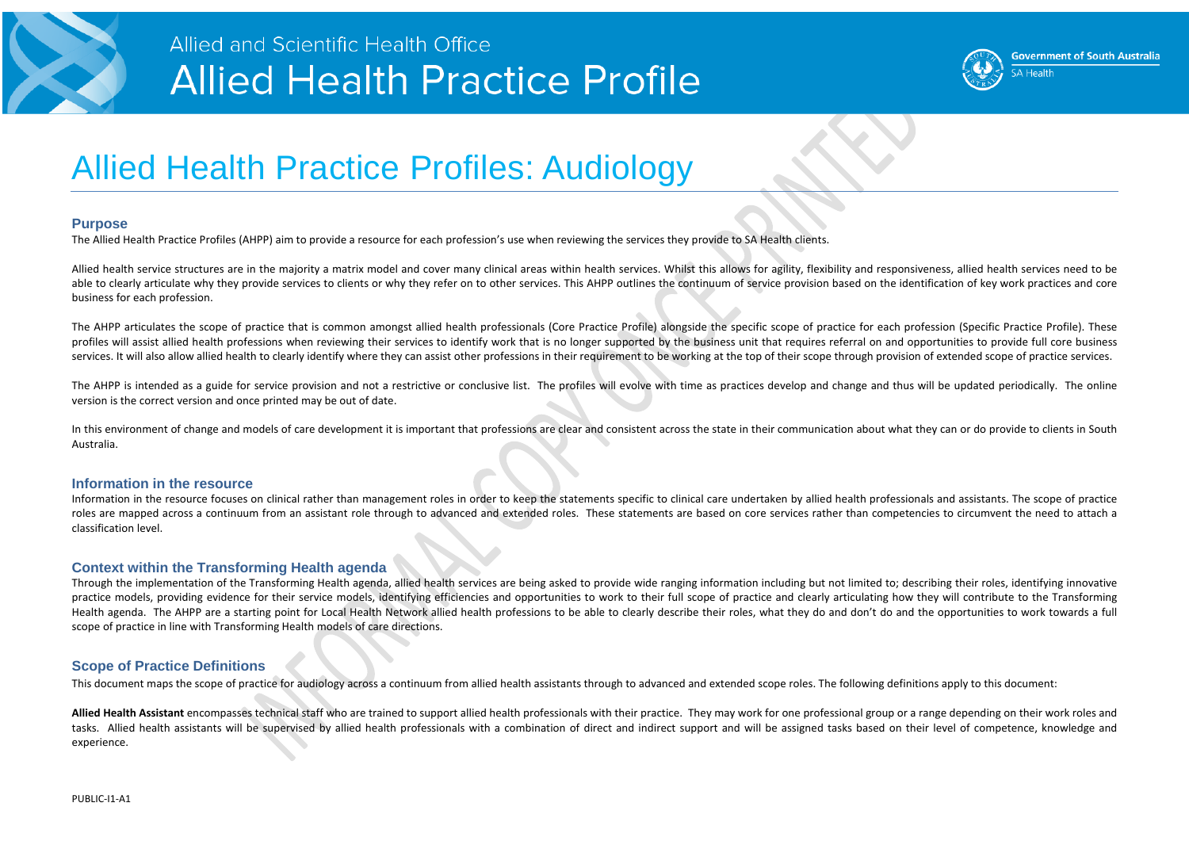

### Allied and Scientific Health Office **Allied Health Practice Profile**

### Allied Health Practice Profiles: Audiology

#### **Purpose**

The Allied Health Practice Profiles (AHPP) aim to provide a resource for each profession's use when reviewing the services they provide to SA Health clients.

Allied health service structures are in the majority a matrix model and cover many clinical areas within health services. Whilst this allows for agility, flexibility and responsiveness, allied health services need to be able to clearly articulate why they provide services to clients or why they refer on to other services. This AHPP outlines the continuum of service provision based on the identification of key work practices and core business for each profession.

The AHPP articulates the scope of practice that is common amongst allied health professionals (Core Practice Profile) alongside the specific scope of practice for each profession (Specific Practice Profile). These profiles will assist allied health professions when reviewing their services to identify work that is no longer supported by the business unit that requires referral on and opportunities to provide full core business services. It will also allow allied health to clearly identify where they can assist other professions in their requirement to be working at the top of their scope through provision of extended scope of practice services.

The AHPP is intended as a guide for service provision and not a restrictive or conclusive list. The profiles will evolve with time as practices develop and change and thus will be updated periodically. The online version is the correct version and once printed may be out of date.

In this environment of change and models of care development it is important that professions are clear and consistent across the state in their communication about what they can or do provide to clients in South Australia.

#### **Information in the resource**

Allied Health Assistant encompasses technical staff who are trained to support allied health professionals with their practice. They may work for one professional group or a range depending on their work roles and tasks. Allied health assistants will be supervised by allied health professionals with a combination of direct and indirect support and will be assigned tasks based on their level of competence, knowledge and experience.

Information in the resource focuses on clinical rather than management roles in order to keep the statements specific to clinical care undertaken by allied health professionals and assistants. The scope of practice roles are mapped across a continuum from an assistant role through to advanced and extended roles. These statements are based on core services rather than competencies to circumvent the need to attach a classification level.

#### **Context within the Transforming Health agenda**

Through the implementation of the Transforming Health agenda, allied health services are being asked to provide wide ranging information including but not limited to; describing their roles, identifying innovative practice models, providing evidence for their service models, identifying efficiencies and opportunities to work to their full scope of practice and clearly articulating how they will contribute to the Transforming Health agenda. The AHPP are a starting point for Local Health Network allied health professions to be able to clearly describe their roles, what they do and don't do and the opportunities to work towards a full scope of practice in line with Transforming Health models of care directions.

### **Scope of Practice Definitions**

This document maps the scope of practice for audiology across a continuum from allied health assistants through to advanced and extended scope roles. The following definitions apply to this document:



**Government of South Australia SA Health**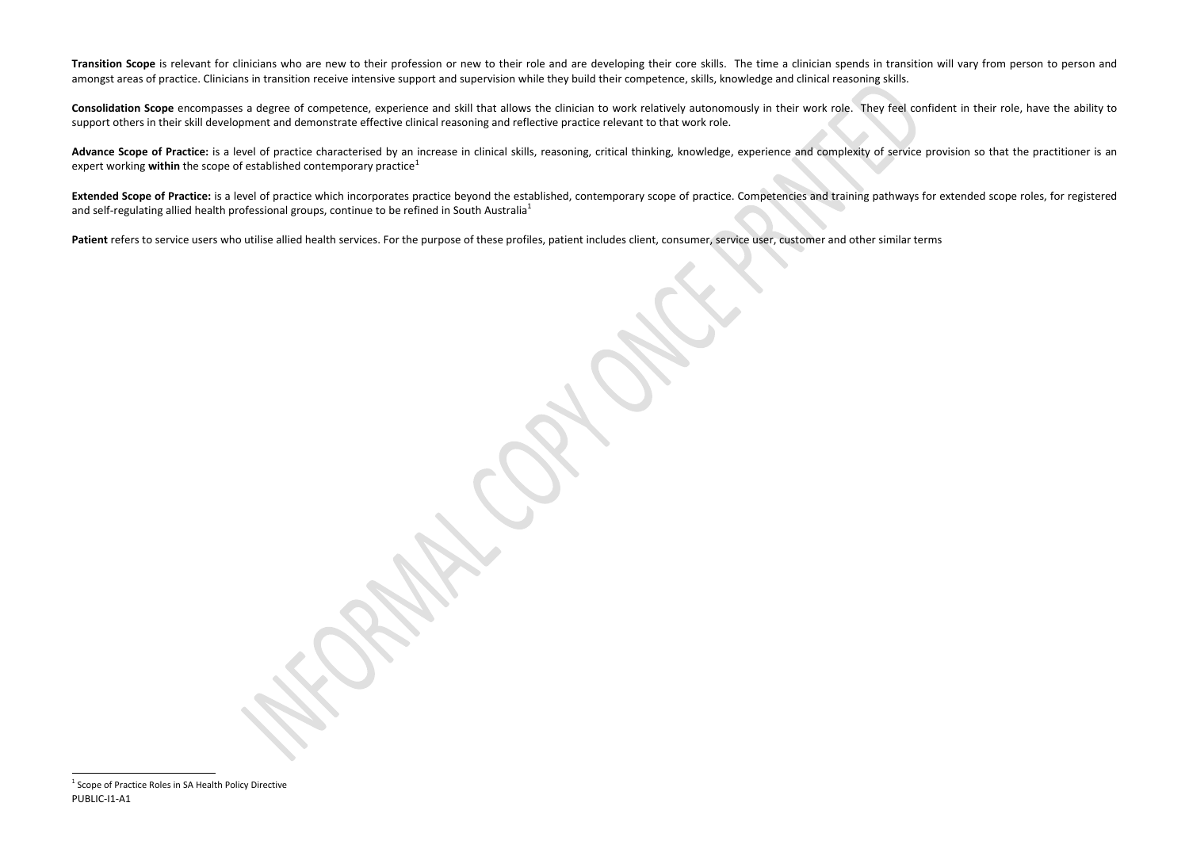<span id="page-1-0"></span>Transition Scope is relevant for clinicians who are new to their profession or new to their role and are developing their core skills. The time a clinician spends in transition will vary from person to person and amongst areas of practice. Clinicians in transition receive intensive support and supervision while they build their competence, skills, knowledge and clinical reasoning skills.

**Consolidation Scope** encompasses a degree of competence, experience and skill that allows the clinician to work relatively autonomously in their work role. They feel confident in their role, have the ability to support others in their skill development and demonstrate effective clinical reasoning and reflective practice relevant to that work role.

Advance Scope of Practice: is a level of practice characterised by an increase in clinical skills, reasoning, critical thinking, knowledge, experience and complexity of service provision so that the practitioner is an expert working **within** the scope of established contemporary practice<sup>[1](#page-1-0)</sup>

Extended Scope of Practice: is a level of practice which incorporates practice beyond the established, contemporary scope of practice. Competencies and training pathways for extended scope roles, for registered and self-regulating allied health professional groups, continue to be refined in South Australia<sup>1</sup>

Patient refers to service users who utilise allied health services. For the purpose of these profiles, patient includes client, consumer, service user, customer and other similar terms

 $\overline{\phantom{a}}$ 

<sup>&</sup>lt;sup>1</sup> Scope of Practice Roles in SA Health Policy Directive PUBLIC-I1-A1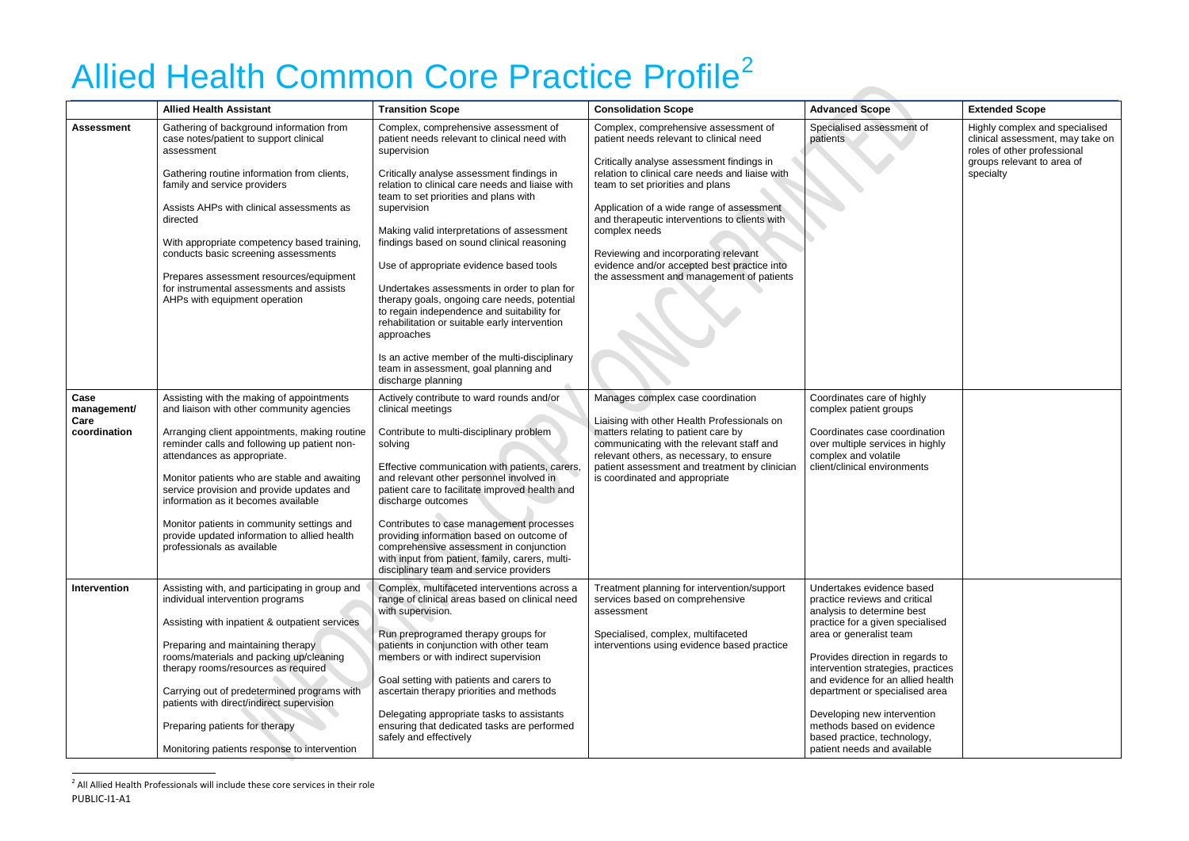# <span id="page-2-0"></span>Allied Health Common Core Practice Profile<sup>[2](#page-2-0)</sup>

|                                             | <b>Allied Health Assistant</b>                                                                                                                                                                                                                                                                                                                                                                                                                                                         | <b>Transition Scope</b>                                                                                                                                                                                                                                                                                                                                                                                                                                                                                                                                                                                                                                                                                                        | <b>Consolidation Scope</b>                                                                                                                                                                                                                                                                                                                                                                                                                                             | <b>Advanced Scope</b>                                                                                                                                                                                                                                                                                                                                                                                                              | <b>Extended Scope</b>                                                                                                                        |
|---------------------------------------------|----------------------------------------------------------------------------------------------------------------------------------------------------------------------------------------------------------------------------------------------------------------------------------------------------------------------------------------------------------------------------------------------------------------------------------------------------------------------------------------|--------------------------------------------------------------------------------------------------------------------------------------------------------------------------------------------------------------------------------------------------------------------------------------------------------------------------------------------------------------------------------------------------------------------------------------------------------------------------------------------------------------------------------------------------------------------------------------------------------------------------------------------------------------------------------------------------------------------------------|------------------------------------------------------------------------------------------------------------------------------------------------------------------------------------------------------------------------------------------------------------------------------------------------------------------------------------------------------------------------------------------------------------------------------------------------------------------------|------------------------------------------------------------------------------------------------------------------------------------------------------------------------------------------------------------------------------------------------------------------------------------------------------------------------------------------------------------------------------------------------------------------------------------|----------------------------------------------------------------------------------------------------------------------------------------------|
| <b>Assessment</b>                           | Gathering of background information from<br>case notes/patient to support clinical<br>assessment<br>Gathering routine information from clients,<br>family and service providers<br>Assists AHPs with clinical assessments as<br>directed<br>With appropriate competency based training,<br>conducts basic screening assessments<br>Prepares assessment resources/equipment<br>for instrumental assessments and assists<br>AHPs with equipment operation                                | Complex, comprehensive assessment of<br>patient needs relevant to clinical need with<br>supervision<br>Critically analyse assessment findings in<br>relation to clinical care needs and liaise with<br>team to set priorities and plans with<br>supervision<br>Making valid interpretations of assessment<br>findings based on sound clinical reasoning<br>Use of appropriate evidence based tools<br>Undertakes assessments in order to plan for<br>therapy goals, ongoing care needs, potential<br>to regain independence and suitability for<br>rehabilitation or suitable early intervention<br>approaches<br>Is an active member of the multi-disciplinary<br>team in assessment, goal planning and<br>discharge planning | Complex, comprehensive assessment of<br>patient needs relevant to clinical need<br>Critically analyse assessment findings in<br>relation to clinical care needs and liaise with<br>team to set priorities and plans<br>Application of a wide range of assessment<br>and therapeutic interventions to clients with<br>complex needs<br>Reviewing and incorporating relevant<br>evidence and/or accepted best practice into<br>the assessment and management of patients | Specialised assessment of<br>patients                                                                                                                                                                                                                                                                                                                                                                                              | Highly complex and specialised<br>clinical assessment, may take on<br>roles of other professional<br>groups relevant to area of<br>specialty |
| Case<br>management/<br>Care<br>coordination | Assisting with the making of appointments<br>and liaison with other community agencies<br>Arranging client appointments, making routine<br>reminder calls and following up patient non-<br>attendances as appropriate.<br>Monitor patients who are stable and awaiting<br>service provision and provide updates and<br>information as it becomes available<br>Monitor patients in community settings and<br>provide updated information to allied health<br>professionals as available | Actively contribute to ward rounds and/or<br>clinical meetings<br>Contribute to multi-disciplinary problem<br>solving<br>Effective communication with patients, carers,<br>and relevant other personnel involved in<br>patient care to facilitate improved health and<br>discharge outcomes<br>Contributes to case management processes<br>providing information based on outcome of<br>comprehensive assessment in conjunction<br>with input from patient, family, carers, multi-<br>disciplinary team and service providers                                                                                                                                                                                                  | Manages complex case coordination<br>Liaising with other Health Professionals on<br>matters relating to patient care by<br>communicating with the relevant staff and<br>relevant others, as necessary, to ensure<br>patient assessment and treatment by clinician<br>is coordinated and appropriate                                                                                                                                                                    | Coordinates care of highly<br>complex patient groups<br>Coordinates case coordination<br>over multiple services in highly<br>complex and volatile<br>client/clinical environments                                                                                                                                                                                                                                                  |                                                                                                                                              |
| Intervention                                | Assisting with, and participating in group and<br>individual intervention programs<br>Assisting with inpatient & outpatient services<br>Preparing and maintaining therapy<br>rooms/materials and packing up/cleaning<br>therapy rooms/resources as required<br>Carrying out of predetermined programs with<br>patients with direct/indirect supervision<br>Preparing patients for therapy<br>Monitoring patients response to intervention                                              | Complex, multifaceted interventions across a<br>range of clinical areas based on clinical need<br>with supervision.<br>Run preprogramed therapy groups for<br>patients in conjunction with other team<br>members or with indirect supervision<br>Goal setting with patients and carers to<br>ascertain therapy priorities and methods<br>Delegating appropriate tasks to assistants<br>ensuring that dedicated tasks are performed<br>safely and effectively                                                                                                                                                                                                                                                                   | Treatment planning for intervention/support<br>services based on comprehensive<br>assessment<br>Specialised, complex, multifaceted<br>interventions using evidence based practice                                                                                                                                                                                                                                                                                      | Undertakes evidence based<br>practice reviews and critical<br>analysis to determine best<br>practice for a given specialised<br>area or generalist team<br>Provides direction in regards to<br>intervention strategies, practices<br>and evidence for an allied health<br>department or specialised area<br>Developing new intervention<br>methods based on evidence<br>based practice, technology,<br>patient needs and available |                                                                                                                                              |

 $^2$  All Allied Health Professionals will include these core services in their role PUBLIC-I1-A1

 $\overline{\phantom{a}}$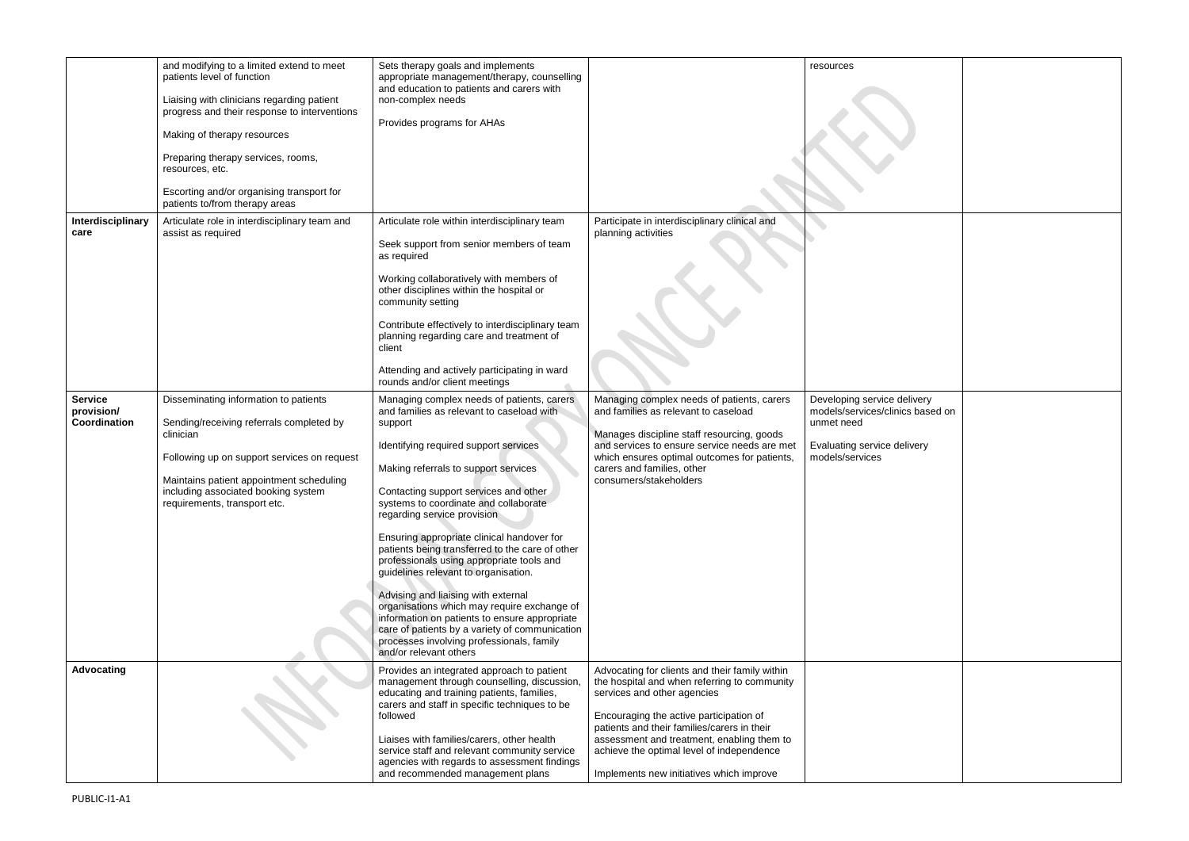| Interdisciplinary                            | and modifying to a limited extend to meet<br>patients level of function<br>Liaising with clinicians regarding patient<br>progress and their response to interventions<br>Making of therapy resources<br>Preparing therapy services, rooms,<br>resources, etc.<br>Escorting and/or organising transport for<br>patients to/from therapy areas<br>Articulate role in interdisciplinary team and | Sets therapy goals and implements<br>appropriate management/therapy, counselling<br>and education to patients and carers with<br>non-complex needs<br>Provides programs for AHAs<br>Articulate role within interdisciplinary team                                                                                                                                                                                                                                                                                                                                                                                                                                                                                                                          | Participate in interdisciplinary clinical and                                                                                                                                                                                                                                                                                                                  | resources                                                                                                 |
|----------------------------------------------|-----------------------------------------------------------------------------------------------------------------------------------------------------------------------------------------------------------------------------------------------------------------------------------------------------------------------------------------------------------------------------------------------|------------------------------------------------------------------------------------------------------------------------------------------------------------------------------------------------------------------------------------------------------------------------------------------------------------------------------------------------------------------------------------------------------------------------------------------------------------------------------------------------------------------------------------------------------------------------------------------------------------------------------------------------------------------------------------------------------------------------------------------------------------|----------------------------------------------------------------------------------------------------------------------------------------------------------------------------------------------------------------------------------------------------------------------------------------------------------------------------------------------------------------|-----------------------------------------------------------------------------------------------------------|
| care                                         | assist as required                                                                                                                                                                                                                                                                                                                                                                            | Seek support from senior members of team<br>as required<br>Working collaboratively with members of<br>other disciplines within the hospital or<br>community setting<br>Contribute effectively to interdisciplinary team<br>planning regarding care and treatment of<br>client<br>Attending and actively participating in ward<br>rounds and/or client meetings                                                                                                                                                                                                                                                                                                                                                                                             | planning activities                                                                                                                                                                                                                                                                                                                                            |                                                                                                           |
| <b>Service</b><br>provision/<br>Coordination | Disseminating information to patients<br>Sending/receiving referrals completed by<br>clinician<br>Following up on support services on request<br>Maintains patient appointment scheduling<br>including associated booking system<br>requirements, transport etc.                                                                                                                              | Managing complex needs of patients, carers<br>and families as relevant to caseload with<br>support<br>Identifying required support services<br>Making referrals to support services<br>Contacting support services and other<br>systems to coordinate and collaborate<br>regarding service provision<br>Ensuring appropriate clinical handover for<br>patients being transferred to the care of other<br>professionals using appropriate tools and<br>guidelines relevant to organisation.<br>Advising and liaising with external<br>organisations which may require exchange of<br>information on patients to ensure appropriate<br>care of patients by a variety of communication<br>processes involving professionals, family<br>and/or relevant others | Managing complex needs of patients, carers<br>and families as relevant to caseload<br>Manages discipline staff resourcing, goods<br>and services to ensure service needs are met<br>which ensures optimal outcomes for patients,<br>carers and families, other<br>consumers/stakeholders                                                                       | Developing service de<br>models/services/clinid<br>unmet need<br>Evaluating service de<br>models/services |
| Advocating                                   |                                                                                                                                                                                                                                                                                                                                                                                               | Provides an integrated approach to patient<br>management through counselling, discussion,<br>educating and training patients, families,<br>carers and staff in specific techniques to be<br>followed<br>Liaises with families/carers, other health<br>service staff and relevant community service<br>agencies with regards to assessment findings<br>and recommended management plans                                                                                                                                                                                                                                                                                                                                                                     | Advocating for clients and their family within<br>the hospital and when referring to community<br>services and other agencies<br>Encouraging the active participation of<br>patients and their families/carers in their<br>assessment and treatment, enabling them to<br>achieve the optimal level of independence<br>Implements new initiatives which improve |                                                                                                           |

| e delivery<br>:linics based on<br>delivery |  |
|--------------------------------------------|--|
|                                            |  |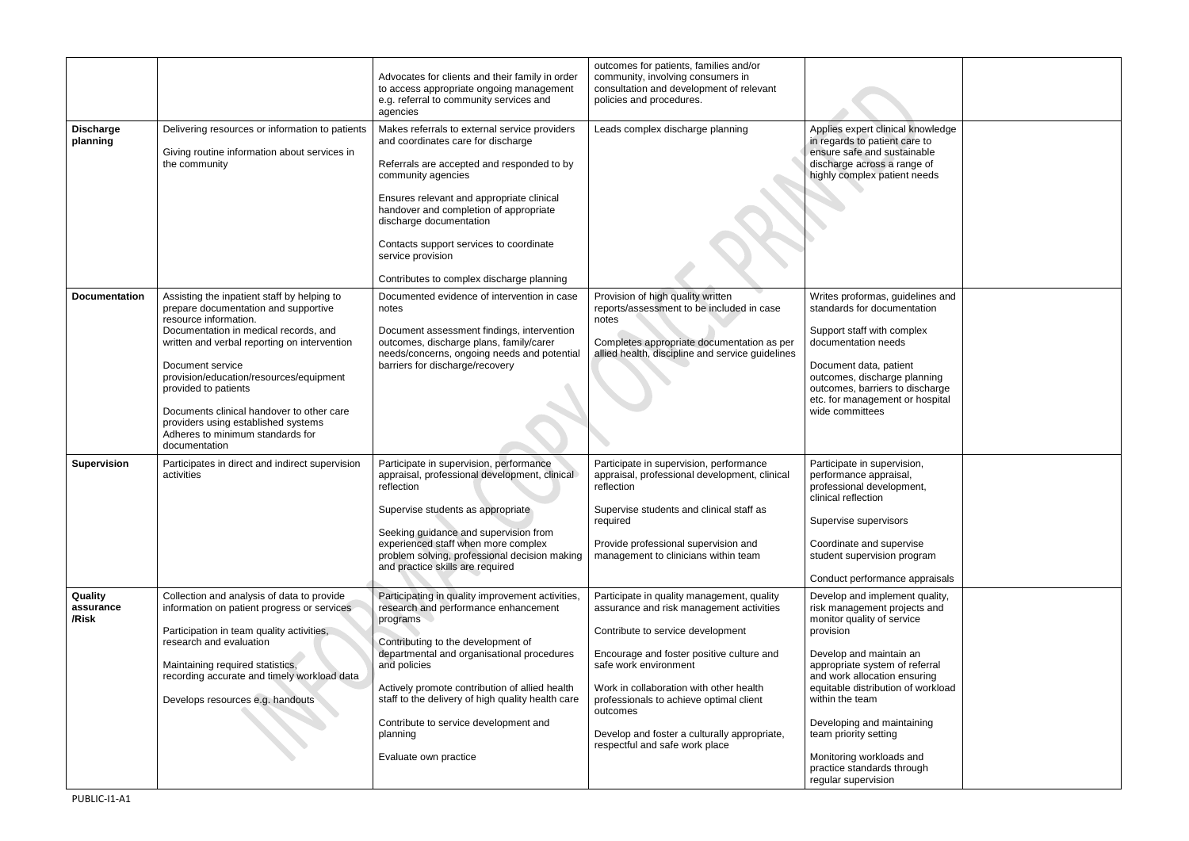|                               |                                                                                                                                                                                                                                                                                                                                                                                                                                       | Advocates for clients and their family in order<br>to access appropriate ongoing management<br>e.g. referral to community services and<br>agencies                                                                                                                                                                                                                                            | outcomes for patients, families and/or<br>community, involving consumers in<br>consultation and development of relevant<br>policies and procedures.                                                                                                                                                                                                                                   |                                                                                                                                                                                                                                                                                                                                                                                                         |  |
|-------------------------------|---------------------------------------------------------------------------------------------------------------------------------------------------------------------------------------------------------------------------------------------------------------------------------------------------------------------------------------------------------------------------------------------------------------------------------------|-----------------------------------------------------------------------------------------------------------------------------------------------------------------------------------------------------------------------------------------------------------------------------------------------------------------------------------------------------------------------------------------------|---------------------------------------------------------------------------------------------------------------------------------------------------------------------------------------------------------------------------------------------------------------------------------------------------------------------------------------------------------------------------------------|---------------------------------------------------------------------------------------------------------------------------------------------------------------------------------------------------------------------------------------------------------------------------------------------------------------------------------------------------------------------------------------------------------|--|
| <b>Discharge</b><br>planning  | Delivering resources or information to patients<br>Giving routine information about services in<br>the community                                                                                                                                                                                                                                                                                                                      | Makes referrals to external service providers<br>and coordinates care for discharge<br>Referrals are accepted and responded to by<br>community agencies<br>Ensures relevant and appropriate clinical<br>handover and completion of appropriate<br>discharge documentation<br>Contacts support services to coordinate<br>service provision<br>Contributes to complex discharge planning        | Leads complex discharge planning                                                                                                                                                                                                                                                                                                                                                      | Applies expert clinical knowledge<br>in regards to patient care to<br>ensure safe and sustainable<br>discharge across a range of<br>highly complex patient needs                                                                                                                                                                                                                                        |  |
| <b>Documentation</b>          | Assisting the inpatient staff by helping to<br>prepare documentation and supportive<br>resource information.<br>Documentation in medical records, and<br>written and verbal reporting on intervention<br>Document service<br>provision/education/resources/equipment<br>provided to patients<br>Documents clinical handover to other care<br>providers using established systems<br>Adheres to minimum standards for<br>documentation | Documented evidence of intervention in case<br>notes<br>Document assessment findings, intervention<br>outcomes, discharge plans, family/carer<br>needs/concerns, ongoing needs and potential<br>barriers for discharge/recovery                                                                                                                                                               | Provision of high quality written<br>reports/assessment to be included in case<br>notes<br>Completes appropriate documentation as per<br>allied health, discipline and service guidelines                                                                                                                                                                                             | Writes proformas, guidelines and<br>standards for documentation<br>Support staff with complex<br>documentation needs<br>Document data, patient<br>outcomes, discharge planning<br>outcomes, barriers to discharge<br>etc. for management or hospital<br>wide committees                                                                                                                                 |  |
| <b>Supervision</b>            | Participates in direct and indirect supervision<br>activities                                                                                                                                                                                                                                                                                                                                                                         | Participate in supervision, performance<br>appraisal, professional development, clinical<br>reflection<br>Supervise students as appropriate<br>Seeking guidance and supervision from<br>experienced staff when more complex<br>problem solving, professional decision making<br>and practice skills are required                                                                              | Participate in supervision, performance<br>appraisal, professional development, clinical<br>reflection<br>Supervise students and clinical staff as<br>required<br>Provide professional supervision and<br>management to clinicians within team                                                                                                                                        | Participate in supervision,<br>performance appraisal,<br>professional development,<br>clinical reflection<br>Supervise supervisors<br>Coordinate and supervise<br>student supervision program<br>Conduct performance appraisals                                                                                                                                                                         |  |
| Quality<br>assurance<br>/Risk | Collection and analysis of data to provide<br>information on patient progress or services<br>Participation in team quality activities,<br>research and evaluation<br>Maintaining required statistics,<br>recording accurate and timely workload data<br>Develops resources e.g. handouts                                                                                                                                              | Participating in quality improvement activities,<br>research and performance enhancement<br>programs<br>Contributing to the development of<br>departmental and organisational procedures<br>and policies<br>Actively promote contribution of allied health<br>staff to the delivery of high quality health care<br>Contribute to service development and<br>planning<br>Evaluate own practice | Participate in quality management, quality<br>assurance and risk management activities<br>Contribute to service development<br>Encourage and foster positive culture and<br>safe work environment<br>Work in collaboration with other health<br>professionals to achieve optimal client<br>outcomes<br>Develop and foster a culturally appropriate,<br>respectful and safe work place | Develop and implement quality,<br>risk management projects and<br>monitor quality of service<br>provision<br>Develop and maintain an<br>appropriate system of referral<br>and work allocation ensuring<br>equitable distribution of workload<br>within the team<br>Developing and maintaining<br>team priority setting<br>Monitoring workloads and<br>practice standards through<br>regular supervision |  |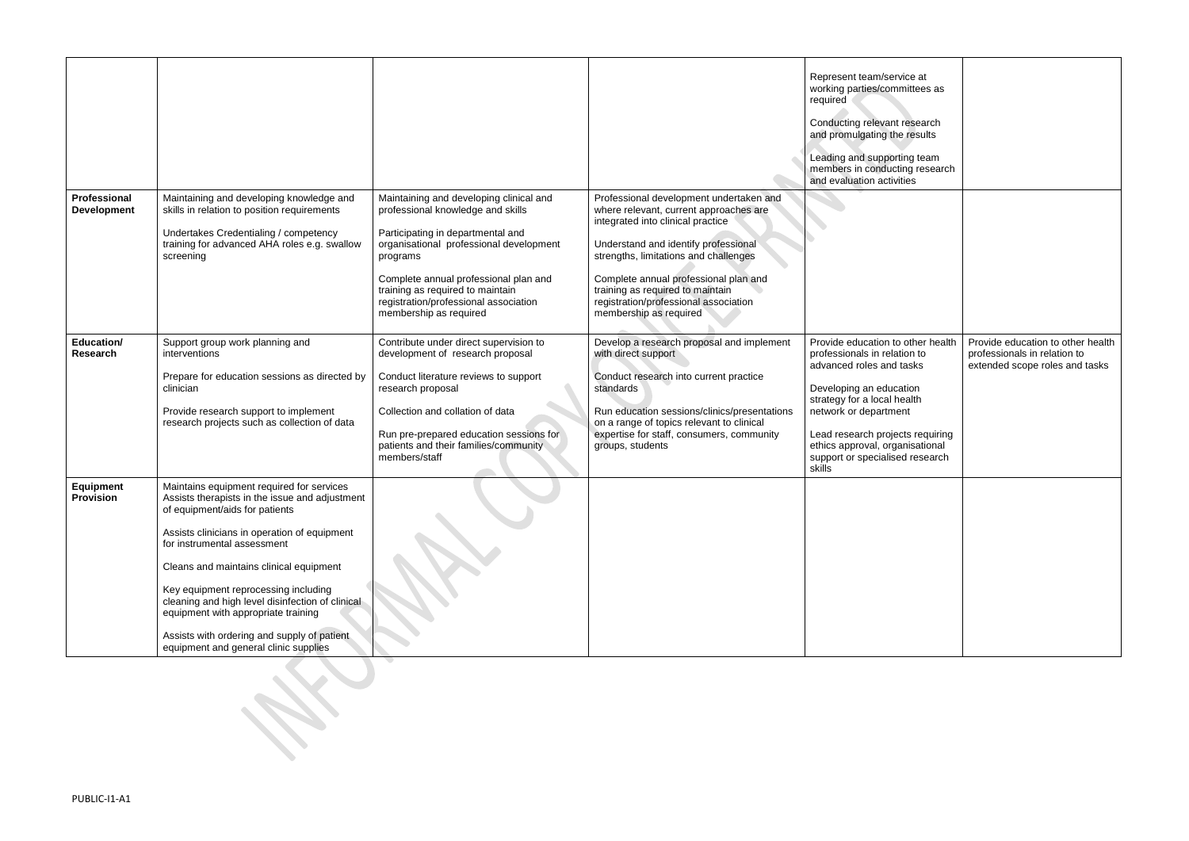|                                    |                                                                                                                                                                                                                                                                                                                                                                                                                                                                                    |                                                                                                                                                                                                                                                                                                                          |                                                                                                                                                                                                                                                                                                                                                         | Represent team/service at<br>working parties/committees as<br>required<br>Conducting relevant research<br>and promulgating the results<br>Leading and supporting team<br>members in conducting research<br>and evaluation activities                                                                 |                                                                                                     |
|------------------------------------|------------------------------------------------------------------------------------------------------------------------------------------------------------------------------------------------------------------------------------------------------------------------------------------------------------------------------------------------------------------------------------------------------------------------------------------------------------------------------------|--------------------------------------------------------------------------------------------------------------------------------------------------------------------------------------------------------------------------------------------------------------------------------------------------------------------------|---------------------------------------------------------------------------------------------------------------------------------------------------------------------------------------------------------------------------------------------------------------------------------------------------------------------------------------------------------|------------------------------------------------------------------------------------------------------------------------------------------------------------------------------------------------------------------------------------------------------------------------------------------------------|-----------------------------------------------------------------------------------------------------|
| Professional<br><b>Development</b> | Maintaining and developing knowledge and<br>skills in relation to position requirements<br>Undertakes Credentialing / competency<br>training for advanced AHA roles e.g. swallow<br>screening                                                                                                                                                                                                                                                                                      | Maintaining and developing clinical and<br>professional knowledge and skills<br>Participating in departmental and<br>organisational professional development<br>programs<br>Complete annual professional plan and<br>training as required to maintain<br>registration/professional association<br>membership as required | Professional development undertaken and<br>where relevant, current approaches are<br>integrated into clinical practice<br>Understand and identify professional<br>strengths, limitations and challenges<br>Complete annual professional plan and<br>training as required to maintain<br>registration/professional association<br>membership as required |                                                                                                                                                                                                                                                                                                      |                                                                                                     |
| <b>Education/</b><br>Research      | Support group work planning and<br>interventions<br>Prepare for education sessions as directed by<br>clinician<br>Provide research support to implement<br>research projects such as collection of data                                                                                                                                                                                                                                                                            | Contribute under direct supervision to<br>development of research proposal<br>Conduct literature reviews to support<br>research proposal<br>Collection and collation of data<br>Run pre-prepared education sessions for<br>patients and their families/community<br>members/staff                                        | Develop a research proposal and implement<br>with direct support<br>Conduct research into current practice<br>standards<br>Run education sessions/clinics/presentations<br>on a range of topics relevant to clinical<br>expertise for staff, consumers, community<br>groups, students                                                                   | Provide education to other health<br>professionals in relation to<br>advanced roles and tasks<br>Developing an education<br>strategy for a local health<br>network or department<br>Lead research projects requiring<br>ethics approval, organisational<br>support or specialised research<br>skills | Provide education to other health<br>professionals in relation to<br>extended scope roles and tasks |
| Equipment<br><b>Provision</b>      | Maintains equipment required for services<br>Assists therapists in the issue and adjustment<br>of equipment/aids for patients<br>Assists clinicians in operation of equipment<br>for instrumental assessment<br>Cleans and maintains clinical equipment<br>Key equipment reprocessing including<br>cleaning and high level disinfection of clinical<br>equipment with appropriate training<br>Assists with ordering and supply of patient<br>equipment and general clinic supplies |                                                                                                                                                                                                                                                                                                                          |                                                                                                                                                                                                                                                                                                                                                         |                                                                                                                                                                                                                                                                                                      |                                                                                                     |
|                                    |                                                                                                                                                                                                                                                                                                                                                                                                                                                                                    |                                                                                                                                                                                                                                                                                                                          |                                                                                                                                                                                                                                                                                                                                                         |                                                                                                                                                                                                                                                                                                      |                                                                                                     |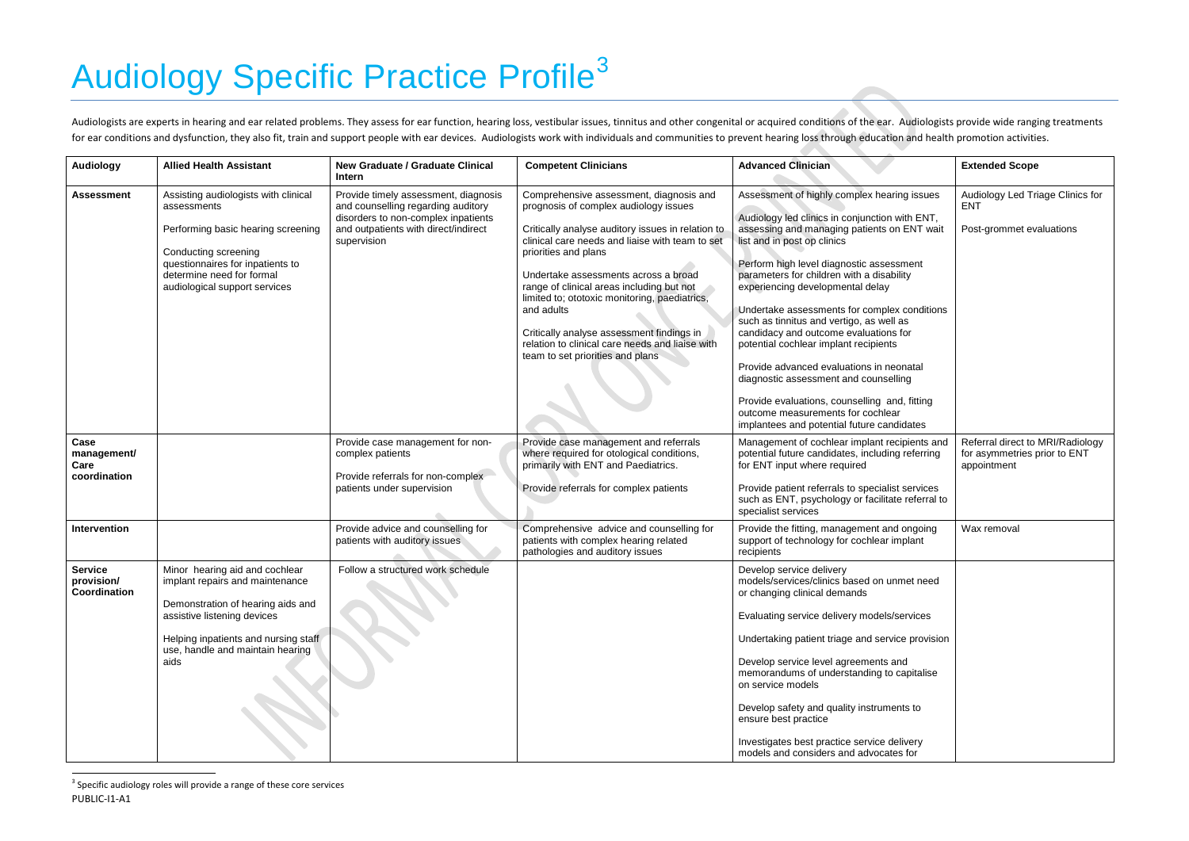# <span id="page-6-0"></span>**Audiology Specific Practice Profile<sup>[3](#page-6-0)</sup>**

Audiologists are experts in hearing and ear related problems. They assess for ear function, hearing loss, vestibular issues, tinnitus and other congenital or acquired conditions of the ear. Audiologists provide wide rangin for ear conditions and dysfunction, they also fit, train and support people with ear devices. Audiologists work with individuals and communities to prevent hearing loss through education and health promotion activities.

 $3$  Specific audiology roles will provide a range of these core services PUBLIC-I1-A1

 $\overline{\phantom{a}}$ 

| <b>Audiology</b>                             | <b>Allied Health Assistant</b>                                                                                                                                                                                            | <b>New Graduate / Graduate Clinical</b><br>Intern                                                                                                                        | <b>Competent Clinicians</b>                                                                                                                                                                                                                                                                                                                                                                                                                                                                              | <b>Advanced Clinician</b>                                                                                                                                                                                                                                                                                                                                                                                                                                                                                                                                                                                                                                                                                       | <b>Extended Scope</b>                                                           |
|----------------------------------------------|---------------------------------------------------------------------------------------------------------------------------------------------------------------------------------------------------------------------------|--------------------------------------------------------------------------------------------------------------------------------------------------------------------------|----------------------------------------------------------------------------------------------------------------------------------------------------------------------------------------------------------------------------------------------------------------------------------------------------------------------------------------------------------------------------------------------------------------------------------------------------------------------------------------------------------|-----------------------------------------------------------------------------------------------------------------------------------------------------------------------------------------------------------------------------------------------------------------------------------------------------------------------------------------------------------------------------------------------------------------------------------------------------------------------------------------------------------------------------------------------------------------------------------------------------------------------------------------------------------------------------------------------------------------|---------------------------------------------------------------------------------|
| <b>Assessment</b>                            | Assisting audiologists with clinical<br>assessments<br>Performing basic hearing screening<br>Conducting screening<br>questionnaires for inpatients to<br>determine need for formal<br>audiological support services       | Provide timely assessment, diagnosis<br>and counselling regarding auditory<br>disorders to non-complex inpatients<br>and outpatients with direct/indirect<br>supervision | Comprehensive assessment, diagnosis and<br>prognosis of complex audiology issues<br>Critically analyse auditory issues in relation to<br>clinical care needs and liaise with team to set<br>priorities and plans<br>Undertake assessments across a broad<br>range of clinical areas including but not<br>limited to; ototoxic monitoring, paediatrics,<br>and adults<br>Critically analyse assessment findings in<br>relation to clinical care needs and liaise with<br>team to set priorities and plans | Assessment of highly complex hearing issues<br>Audiology led clinics in conjunction with ENT,<br>assessing and managing patients on ENT wait<br>list and in post op clinics<br>Perform high level diagnostic assessment<br>parameters for children with a disability<br>experiencing developmental delay<br>Undertake assessments for complex conditions<br>such as tinnitus and vertigo, as well as<br>candidacy and outcome evaluations for<br>potential cochlear implant recipients<br>Provide advanced evaluations in neonatal<br>diagnostic assessment and counselling<br>Provide evaluations, counselling and, fitting<br>outcome measurements for cochlear<br>implantees and potential future candidates | Audiology Led Triage Clinics for<br><b>ENT</b><br>Post-grommet evaluations      |
| Case<br>management/<br>Care<br>coordination  |                                                                                                                                                                                                                           | Provide case management for non-<br>complex patients<br>Provide referrals for non-complex<br>patients under supervision                                                  | Provide case management and referrals<br>where required for otological conditions,<br>primarily with ENT and Paediatrics.<br>Provide referrals for complex patients                                                                                                                                                                                                                                                                                                                                      | Management of cochlear implant recipients and<br>potential future candidates, including referring<br>for ENT input where required<br>Provide patient referrals to specialist services<br>such as ENT, psychology or facilitate referral to<br>specialist services                                                                                                                                                                                                                                                                                                                                                                                                                                               | Referral direct to MRI/Radiology<br>for asymmetries prior to ENT<br>appointment |
| Intervention                                 |                                                                                                                                                                                                                           | Provide advice and counselling for<br>patients with auditory issues                                                                                                      | Comprehensive advice and counselling for<br>patients with complex hearing related<br>pathologies and auditory issues                                                                                                                                                                                                                                                                                                                                                                                     | Provide the fitting, management and ongoing<br>support of technology for cochlear implant<br>recipients                                                                                                                                                                                                                                                                                                                                                                                                                                                                                                                                                                                                         | Wax removal                                                                     |
| <b>Service</b><br>provision/<br>Coordination | Minor hearing aid and cochlear<br>implant repairs and maintenance<br>Demonstration of hearing aids and<br>assistive listening devices<br>Helping inpatients and nursing staff<br>use, handle and maintain hearing<br>aids | Follow a structured work schedule                                                                                                                                        |                                                                                                                                                                                                                                                                                                                                                                                                                                                                                                          | Develop service delivery<br>models/services/clinics based on unmet need<br>or changing clinical demands<br>Evaluating service delivery models/services<br>Undertaking patient triage and service provision<br>Develop service level agreements and<br>memorandums of understanding to capitalise<br>on service models<br>Develop safety and quality instruments to<br>ensure best practice<br>Investigates best practice service delivery<br>models and considers and advocates for                                                                                                                                                                                                                             |                                                                                 |